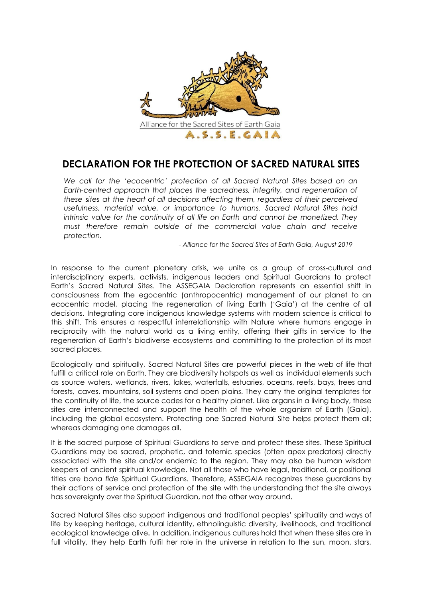

## **DECLARATION FOR THE PROTECTION OF SACRED NATURAL SITES**

*We call for the 'ecocentric' protection of all Sacred Natural Sites based on an Earth-centred approach that places the sacredness, integrity, and regeneration of these sites at the heart of all decisions affecting them, regardless of their perceived usefulness, material value, or importance to humans. Sacred Natural Sites hold intrinsic value for the continuity of all life on Earth and cannot be monetized. They must therefore remain outside of the commercial value chain and receive protection.*

*- Alliance for the Sacred Sites of Earth Gaia, August 2019*

In response to the current planetary crisis, we unite as a group of cross-cultural and interdisciplinary experts, activists, indigenous leaders and Spiritual Guardians to protect Earth's Sacred Natural Sites. The ASSEGAIA Declaration represents an essential shift in consciousness from the egocentric (anthropocentric) management of our planet to an ecocentric model, placing the regeneration of living Earth ('Gaia') at the centre of all decisions. Integrating core indigenous knowledge systems with modern science is critical to this shift. This ensures a respectful interrelationship with Nature where humans engage in reciprocity with the natural world as a living entity, offering their gifts in service to the regeneration of Earth's biodiverse ecosystems and committing to the protection of its most sacred places.

Ecologically and spiritually, Sacred Natural Sites are powerful pieces in the web of life that fulfill a critical role on Earth. They are biodiversity hotspots as well as individual elements such as source waters, wetlands, rivers, lakes, waterfalls, estuaries, oceans, reefs, bays, trees and forests, caves, mountains, soil systems and open plains. They carry the original templates for the continuity of life, the source codes for a healthy planet. Like organs in a living body, these sites are interconnected and support the health of the whole organism of Earth (Gaia), including the global ecosystem. Protecting one Sacred Natural Site helps protect them all; whereas damaging one damages all.

It is the sacred purpose of Spiritual Guardians to serve and protect these sites. These Spiritual Guardians may be sacred, prophetic, and totemic species (often apex predators) directly associated with the site and/or endemic to the region. They may also be human wisdom keepers of ancient spiritual knowledge. Not all those who have legal, traditional, or positional titles are *bona fide* Spiritual Guardians. Therefore, ASSEGAIA recognizes these guardians by their actions of service and protection of the site with the understanding that the site always has sovereignty over the Spiritual Guardian, not the other way around.

Sacred Natural Sites also support indigenous and traditional peoples' spirituality and ways of life by keeping heritage, cultural identity, ethnolinguistic diversity, livelihoods, and traditional ecological knowledge alive**.** In addition, indigenous cultures hold that when these sites are in full vitality, they help Earth fulfil her role in the universe in relation to the sun, moon, stars,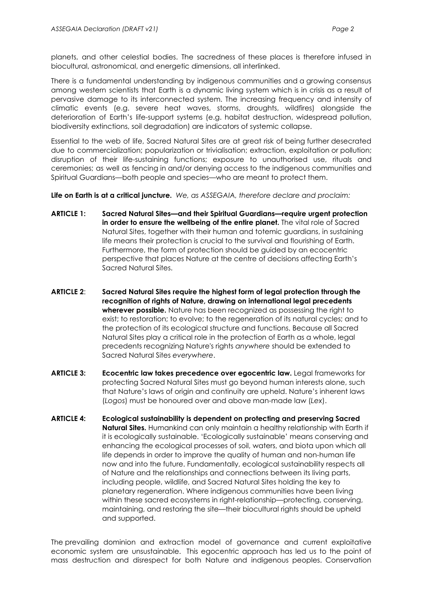planets, and other celestial bodies. The sacredness of these places is therefore infused in biocultural, astronomical, and energetic dimensions, all interlinked.

There is a fundamental understanding by indigenous communities and a growing consensus among western scientists that Earth is a dynamic living system which is in crisis as a result of pervasive damage to its interconnected system. The increasing frequency and intensity of climatic events (e.g. severe heat waves, storms, droughts, wildfires) alongside the deterioration of Earth's life-support systems (e.g. habitat destruction, widespread pollution, biodiversity extinctions, soil degradation) are indicators of systemic collapse.

Essential to the web of life, Sacred Natural Sites are at great risk of being further desecrated due to commercialization; popularization or trivialisation; extraction, exploitation or pollution; disruption of their life-sustaining functions; exposure to unauthorised use, rituals and ceremonies; as well as fencing in and/or denying access to the indigenous communities and Spiritual Guardians—both people and species—who are meant to protect them.

**Life on Earth is at a critical juncture.** *We, as ASSEGAIA, therefore declare and proclaim:*

- **ARTICLE 1: Sacred Natural Sites—and their Spiritual Guardians—require urgent protection in order to ensure the wellbeing of the entire planet.** The vital role of Sacred Natural Sites, together with their human and totemic guardians, in sustaining life means their protection is crucial to the survival and flourishing of Earth. Furthermore, the form of protection should be guided by an ecocentric perspective that places Nature at the centre of decisions affecting Earth's Sacred Natural Sites.
- **ARTICLE 2**: **Sacred Natural Sites require the highest form of legal protection through the recognition of rights of Nature, drawing on international legal precedents wherever possible.** Nature has been recognized as possessing the right to exist; to restoration; to evolve; to the regeneration of its natural cycles; and to the protection of its ecological structure and functions. Because all Sacred Natural Sites play a critical role in the protection of Earth as a whole, legal precedents recognizing Nature's rights *anywhere* should be extended to Sacred Natural Sites *everywhere*.
- **ARTICLE 3: Ecocentric law takes precedence over egocentric law.** Legal frameworks for protecting Sacred Natural Sites must go beyond human interests alone, such that Nature's laws of origin and continuity are upheld. Nature's inherent laws (*Logos*) must be honoured over and above man-made law (*Lex*).
- **ARTICLE 4: Ecological sustainability is dependent on protecting and preserving Sacred Natural Sites.** Humankind can only maintain a healthy relationship with Earth if it is ecologically sustainable. 'Ecologically sustainable' means conserving and enhancing the ecological processes of soil, waters, and biota upon which all life depends in order to improve the quality of human and non-human life now and into the future. Fundamentally, ecological sustainability respects all of Nature and the relationships and connections between its living parts, including people, wildlife, and Sacred Natural Sites holding the key to planetary regeneration. Where indigenous communities have been living within these sacred ecosystems in right-relationship—protecting, conserving, maintaining, and restoring the site—their biocultural rights should be upheld and supported.

The prevailing dominion and extraction model of governance and current exploitative economic system are unsustainable. This egocentric approach has led us to the point of mass destruction and disrespect for both Nature and indigenous peoples. Conservation